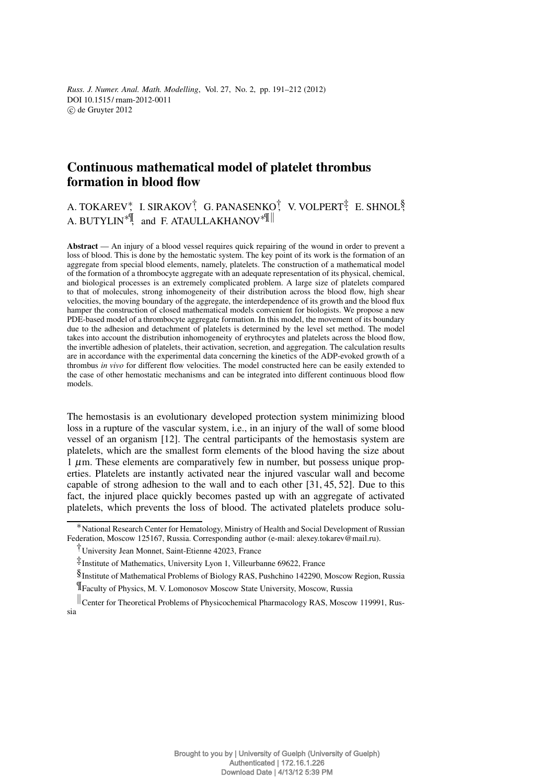*Russ. J. Numer. Anal. Math. Modelling*, Vol. 27, No. 2, pp. 191–212 (2012) DOI 10.1515/ rnam-2012-0011 c de Gruyter 2012

# **Continuous mathematical model of platelet thrombus formation in blood flow**

A. TOKAREV $^*$ , I. SIRAKOV $^{\dagger}$ , G. PANASENKO $^{\dagger}$ , V. VOLPERT $^{\ddagger}$ , E. SHNOL $^{\S}$ A. BUTYLIN $^{\ast}\mathbb{I}$  and F. ATAULLAKHANOV $^{\ast}\mathbb{I}$ 

Abstract — An injury of a blood vessel requires quick repairing of the wound in order to prevent a loss of blood. This is done by the hemostatic system. The key point of its work is the formation of an aggregate from special blood elements, namely, platelets. The construction of a mathematical model of the formation of a thrombocyte aggregate with an adequate representation of its physical, chemical, and biological processes is an extremely complicated problem. A large size of platelets compared to that of molecules, strong inhomogeneity of their distribution across the blood flow, high shear velocities, the moving boundary of the aggregate, the interdependence of its growth and the blood flux hamper the construction of closed mathematical models convenient for biologists. We propose a new PDE-based model of a thrombocyte aggregate formation. In this model, the movement of its boundary due to the adhesion and detachment of platelets is determined by the level set method. The model takes into account the distribution inhomogeneity of erythrocytes and platelets across the blood flow, the invertible adhesion of platelets, their activation, secretion, and aggregation. The calculation results are in accordance with the experimental data concerning the kinetics of the ADP-evoked growth of a thrombus *in vivo* for different flow velocities. The model constructed here can be easily extended to the case of other hemostatic mechanisms and can be integrated into different continuous blood flow models.

The hemostasis is an evolutionary developed protection system minimizing blood loss in a rupture of the vascular system, i.e., in an injury of the wall of some blood vessel of an organism [12]. The central participants of the hemostasis system are platelets, which are the smallest form elements of the blood having the size about  $1 \mu$ m. These elements are comparatively few in number, but possess unique properties. Platelets are instantly activated near the injured vascular wall and become capable of strong adhesion to the wall and to each other [31, 45, 52]. Due to this fact, the injured place quickly becomes pasted up with an aggregate of activated platelets, which prevents the loss of blood. The activated platelets produce solu-

§Institute of Mathematical Problems of Biology RAS, Pushchino 142290, Moscow Region, Russia

<sup>∗</sup>National Research Center for Hematology, Ministry of Health and Social Development of Russian Federation, Moscow 125167, Russia. Corresponding author (e-mail: alexey.tokarev@mail.ru).

<sup>†</sup>University Jean Monnet, Saint-Etienne 42023, France

<sup>‡</sup>Institute of Mathematics, University Lyon 1, Villeurbanne 69622, France

<sup>¶</sup>Faculty of Physics, M. V. Lomonosov Moscow State University, Moscow, Russia

Center for Theoretical Problems of Physicochemical Pharmacology RAS, Moscow 119991, Russia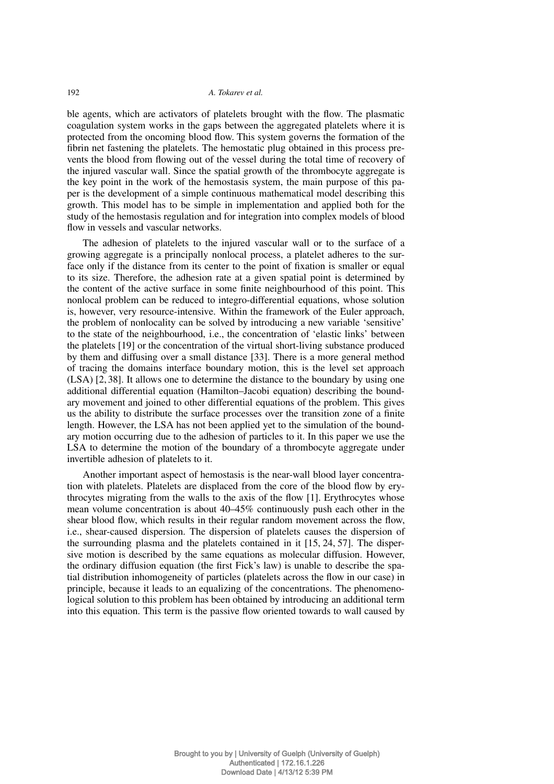ble agents, which are activators of platelets brought with the flow. The plasmatic coagulation system works in the gaps between the aggregated platelets where it is protected from the oncoming blood flow. This system governs the formation of the fibrin net fastening the platelets. The hemostatic plug obtained in this process prevents the blood from flowing out of the vessel during the total time of recovery of the injured vascular wall. Since the spatial growth of the thrombocyte aggregate is the key point in the work of the hemostasis system, the main purpose of this paper is the development of a simple continuous mathematical model describing this growth. This model has to be simple in implementation and applied both for the study of the hemostasis regulation and for integration into complex models of blood flow in vessels and vascular networks.

The adhesion of platelets to the injured vascular wall or to the surface of a growing aggregate is a principally nonlocal process, a platelet adheres to the surface only if the distance from its center to the point of fixation is smaller or equal to its size. Therefore, the adhesion rate at a given spatial point is determined by the content of the active surface in some finite neighbourhood of this point. This nonlocal problem can be reduced to integro-differential equations, whose solution is, however, very resource-intensive. Within the framework of the Euler approach, the problem of nonlocality can be solved by introducing a new variable 'sensitive' to the state of the neighbourhood, i.e., the concentration of 'elastic links' between the platelets [19] or the concentration of the virtual short-living substance produced by them and diffusing over a small distance [33]. There is a more general method of tracing the domains interface boundary motion, this is the level set approach (LSA) [2, 38]. It allows one to determine the distance to the boundary by using one additional differential equation (Hamilton–Jacobi equation) describing the boundary movement and joined to other differential equations of the problem. This gives us the ability to distribute the surface processes over the transition zone of a finite length. However, the LSA has not been applied yet to the simulation of the boundary motion occurring due to the adhesion of particles to it. In this paper we use the LSA to determine the motion of the boundary of a thrombocyte aggregate under invertible adhesion of platelets to it.

Another important aspect of hemostasis is the near-wall blood layer concentration with platelets. Platelets are displaced from the core of the blood flow by erythrocytes migrating from the walls to the axis of the flow [1]. Erythrocytes whose mean volume concentration is about 40–45% continuously push each other in the shear blood flow, which results in their regular random movement across the flow, i.e., shear-caused dispersion. The dispersion of platelets causes the dispersion of the surrounding plasma and the platelets contained in it [15, 24, 57]. The dispersive motion is described by the same equations as molecular diffusion. However, the ordinary diffusion equation (the first Fick's law) is unable to describe the spatial distribution inhomogeneity of particles (platelets across the flow in our case) in principle, because it leads to an equalizing of the concentrations. The phenomenological solution to this problem has been obtained by introducing an additional term into this equation. This term is the passive flow oriented towards to wall caused by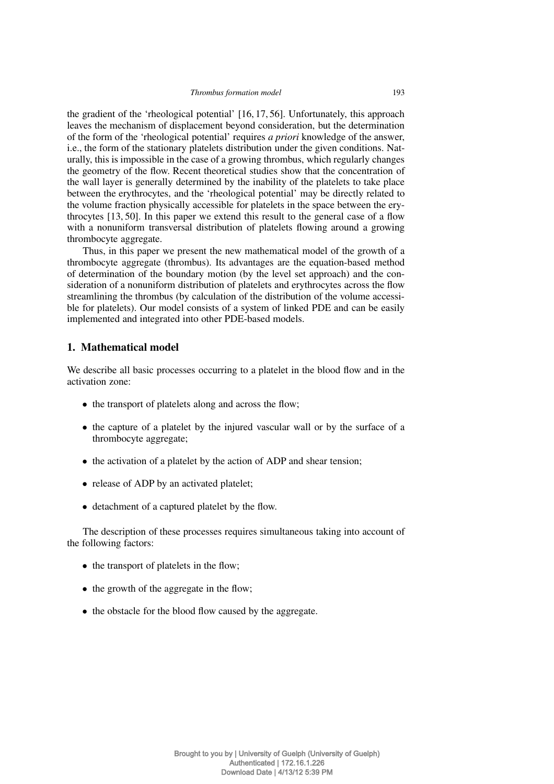the gradient of the 'rheological potential' [16, 17, 56]. Unfortunately, this approach leaves the mechanism of displacement beyond consideration, but the determination of the form of the 'rheological potential' requires *a priori* knowledge of the answer, i.e., the form of the stationary platelets distribution under the given conditions. Naturally, this is impossible in the case of a growing thrombus, which regularly changes the geometry of the flow. Recent theoretical studies show that the concentration of the wall layer is generally determined by the inability of the platelets to take place between the erythrocytes, and the 'rheological potential' may be directly related to the volume fraction physically accessible for platelets in the space between the erythrocytes [13, 50]. In this paper we extend this result to the general case of a flow with a nonuniform transversal distribution of platelets flowing around a growing thrombocyte aggregate.

Thus, in this paper we present the new mathematical model of the growth of a thrombocyte aggregate (thrombus). Its advantages are the equation-based method of determination of the boundary motion (by the level set approach) and the consideration of a nonuniform distribution of platelets and erythrocytes across the flow streamlining the thrombus (by calculation of the distribution of the volume accessible for platelets). Our model consists of a system of linked PDE and can be easily implemented and integrated into other PDE-based models.

# **1. Mathematical model**

We describe all basic processes occurring to a platelet in the blood flow and in the activation zone:

- the transport of platelets along and across the flow;
- the capture of a platelet by the injured vascular wall or by the surface of a thrombocyte aggregate;
- the activation of a platelet by the action of ADP and shear tension;
- release of ADP by an activated platelet;
- detachment of a captured platelet by the flow.

The description of these processes requires simultaneous taking into account of the following factors:

- the transport of platelets in the flow;
- the growth of the aggregate in the flow;
- the obstacle for the blood flow caused by the aggregate.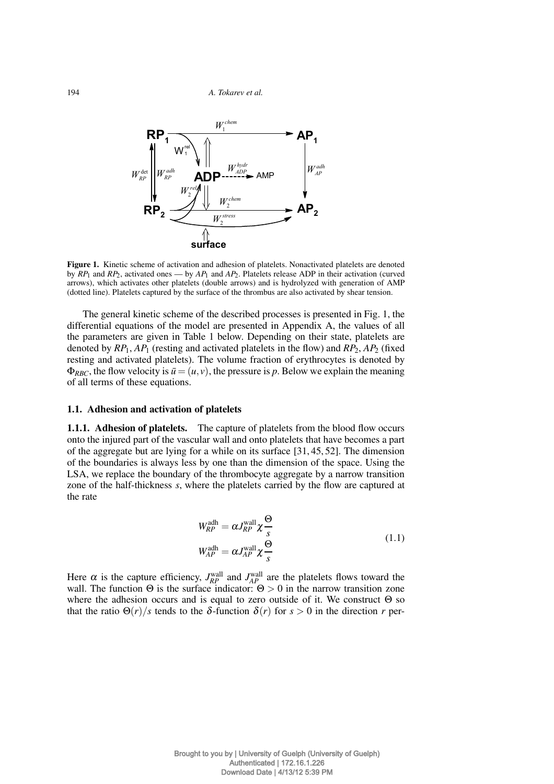

**Figure 1.** Kinetic scheme of activation and adhesion of platelets. Nonactivated platelets are denoted by *RP*<sup>1</sup> and *RP*2, activated ones — by *AP*<sup>1</sup> and *AP*2. Platelets release ADP in their activation (curved arrows), which activates other platelets (double arrows) and is hydrolyzed with generation of AMP (dotted line). Platelets captured by the surface of the thrombus are also activated by shear tension.

The general kinetic scheme of the described processes is presented in Fig. 1, the differential equations of the model are presented in Appendix A, the values of all the parameters are given in Table 1 below. Depending on their state, platelets are denoted by *RP*1, *AP*<sup>1</sup> (resting and activated platelets in the flow) and *RP*2, *AP*<sup>2</sup> (fixed resting and activated platelets). The volume fraction of erythrocytes is denoted by  $\Phi_{RRC}$ , the flow velocity is  $\bar{u} = (u, v)$ , the pressure is p. Below we explain the meaning of all terms of these equations.

### **1.1. Adhesion and activation of platelets**

**1.1.1. Adhesion of platelets.** The capture of platelets from the blood flow occurs onto the injured part of the vascular wall and onto platelets that have becomes a part of the aggregate but are lying for a while on its surface [31, 45, 52]. The dimension of the boundaries is always less by one than the dimension of the space. Using the LSA, we replace the boundary of the thrombocyte aggregate by a narrow transition zone of the half-thickness *s*, where the platelets carried by the flow are captured at the rate

$$
W_{RP}^{\text{adh}} = \alpha J_{RP}^{\text{wall}} \chi \frac{\Theta}{s}
$$
  
\n
$$
W_{AP}^{\text{adh}} = \alpha J_{AP}^{\text{wall}} \chi \frac{\Theta}{s}
$$
\n(1.1)

Here  $\alpha$  is the capture efficiency, *J*<sub>*RP*</sub> and *J*<sub>*AP*</sub><sup>l</sup> are the platelets flows toward the wall. The function  $\Theta$  is the surface indicator:  $\Theta > 0$  in the narrow transition zone where the adhesion occurs and is equal to zero outside of it. We construct  $\Theta$  so that the ratio  $\Theta(r)/s$  tends to the  $\delta$ -function  $\delta(r)$  for  $s > 0$  in the direction *r* per-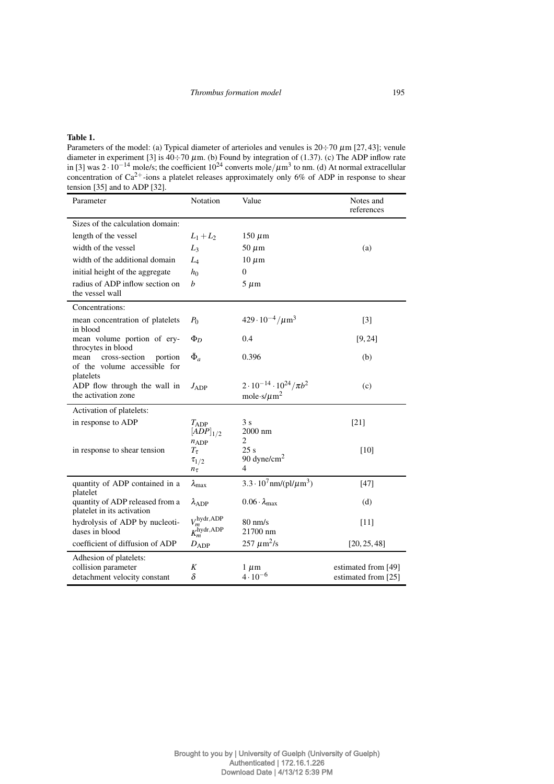# **Table 1.**

Parameters of the model: (a) Typical diameter of arterioles and venules is  $20 \div 70 \mu$ m [27, 43]; venule diameter in experiment [3] is  $40 \div 70 \mu$ m. (b) Found by integration of (1.37). (c) The ADP inflow rate in [3] was  $2 \cdot 10^{-14}$  mole/s; the coefficient  $10^{24}$  converts mole/ $\mu$ m<sup>3</sup> to nm. (d) At normal extracellular concentration of  $Ca^{2+}$ -ions a platelet releases approximately only 6% of ADP in response to shear tension [35] and to ADP [32].

| Parameter                                                                     | Notation                                        | Value                                                      | Notes and<br>references                    |
|-------------------------------------------------------------------------------|-------------------------------------------------|------------------------------------------------------------|--------------------------------------------|
| Sizes of the calculation domain:                                              |                                                 |                                                            |                                            |
| length of the vessel                                                          | $L_1 + L_2$                                     | $150 \ \mu m$                                              |                                            |
| width of the vessel                                                           | $L_3$                                           | $50 \mu m$                                                 | (a)                                        |
| width of the additional domain                                                | $L_4$                                           | $10 \mu m$                                                 |                                            |
| initial height of the aggregate                                               | h <sub>0</sub>                                  | 0                                                          |                                            |
| radius of ADP inflow section on<br>the vessel wall                            | h                                               | $5 \mu m$                                                  |                                            |
| Concentrations:                                                               |                                                 |                                                            |                                            |
| mean concentration of platelets<br>in blood                                   | $P_0$                                           | $429 \cdot 10^{-4} / \mu \text{m}^3$                       | $[3]$                                      |
| mean volume portion of ery-<br>throcytes in blood                             | $\Phi_D$                                        | 0.4                                                        | [9, 24]                                    |
| cross-section<br>mean<br>portion<br>of the volume accessible for<br>platelets | $\bar{\Phi}_a$                                  | 0.396                                                      | (b)                                        |
| ADP flow through the wall in<br>the activation zone                           | $J_{ADP}$                                       | $2\cdot 10^{-14}\cdot 10^{24}/\pi b^2$<br>mole $s/\mu m^2$ | (c)                                        |
| Activation of platelets:                                                      |                                                 |                                                            |                                            |
| in response to ADP                                                            | $T_{ADP}$<br>$[ADP]_{1/2}$<br>$n_{ADP}$         | 3 s<br>2000 nm<br>2                                        | $[21]$                                     |
| in response to shear tension                                                  | $T_\tau$<br>$\tau_{1/2}$<br>$n_{\tau}$          | 25s<br>90 dyne/cm <sup>2</sup><br>4                        | [10]                                       |
| quantity of ADP contained in a<br>platelet                                    | $\lambda_{\rm max}$                             | $3.3 \cdot 10^7$ nm/(pl/ $\mu$ m <sup>3</sup> )            | $[47]$                                     |
| quantity of ADP released from a<br>platelet in its activation                 | $\lambda_{ADP}$                                 | $0.06 \cdot \lambda_{\text{max}}$                          | (d)                                        |
| hydrolysis of ADP by nucleoti-<br>dases in blood                              | $V_m^{\text{hydr,ADP}}$<br>$K_m^{\text{hydro}}$ | $80 \text{ nm/s}$<br>21700 nm                              | [11]                                       |
| coefficient of diffusion of ADP                                               | $D_{ADP}$                                       | $257 \ \mu m^2/s$                                          | [20, 25, 48]                               |
| Adhesion of platelets:<br>collision parameter<br>detachment velocity constant | K<br>$\delta$                                   | $1 \mu m$<br>$4 \cdot 10^{-6}$                             | estimated from [49]<br>estimated from [25] |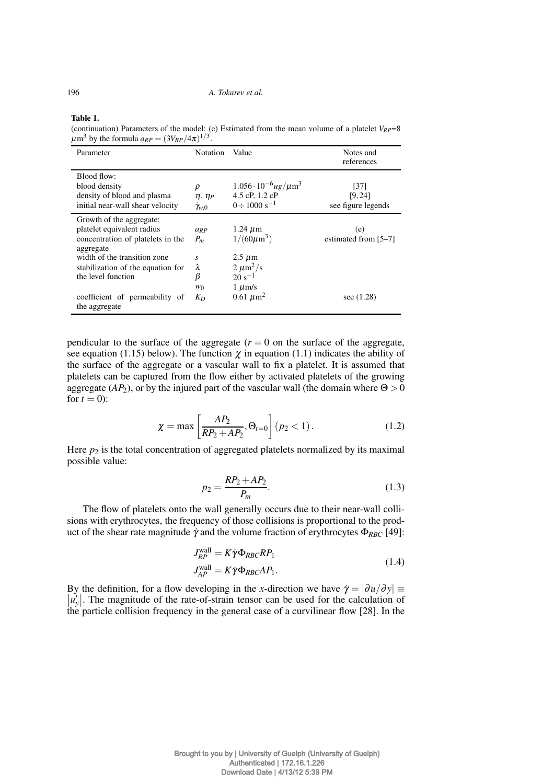**Table 1.**

(continuation) Parameters of the model: (e) Estimated from the mean volume of a platelet  $V_{RP}$ =8  $\mu$ m<sup>3</sup> by the formula  $a_{RP} = (3V_{RP}/4\pi)^{1/3}$ .

| Parameter                                                                                                | Notation                                                  | Value                                                                                             | Notes and<br>references               |
|----------------------------------------------------------------------------------------------------------|-----------------------------------------------------------|---------------------------------------------------------------------------------------------------|---------------------------------------|
| Blood flow:<br>blood density<br>density of blood and plasma<br>initial near-wall shear velocity          | ρ<br>$\eta$ , $\eta$ <sub>P</sub><br>$\dot{\gamma}_{w.0}$ | $1.056 \cdot 10^{-6}$ ug/ $\mu$ m <sup>3</sup><br>4.5 cP, 1.2 cP<br>$0 \div 1000$ s <sup>-1</sup> | [37]<br>[9, 24]<br>see figure legends |
| Growth of the aggregate:<br>platelet equivalent radius<br>concentration of platelets in the<br>aggregate | $a_{RP}$<br>$P_m$                                         | $1.24 \mu m$<br>$1/(60 \mu m^3)$                                                                  | (e)<br>estimated from [5–7]           |
| width of the transition zone<br>stabilization of the equation for<br>the level function                  | S.<br>λ<br>β<br>$w_0$                                     | $2.5 \mu m$<br>$2 \mu m^2/s$<br>$20 s^{-1}$<br>$1 \mu m/s$                                        |                                       |
| coefficient of permeability of<br>the aggregate                                                          | $K_D$                                                     | $0.61 \ \mu m^2$                                                                                  | see $(1.28)$                          |

pendicular to the surface of the aggregate  $(r = 0)$  on the surface of the aggregate, see equation (1.15) below). The function  $\chi$  in equation (1.1) indicates the ability of the surface of the aggregate or a vascular wall to fix a platelet. It is assumed that platelets can be captured from the flow either by activated platelets of the growing aggregate ( $AP_2$ ), or by the injured part of the vascular wall (the domain where  $\Theta > 0$ for  $t = 0$ :

$$
\chi = \max\left[\frac{AP_2}{RP_2 + AP_2}, \Theta_{t=0}\right] (p_2 < 1).
$$
 (1.2)

Here  $p_2$  is the total concentration of aggregated platelets normalized by its maximal possible value:

$$
p_2 = \frac{RP_2 + AP_2}{P_m}.\tag{1.3}
$$

The flow of platelets onto the wall generally occurs due to their near-wall collisions with erythrocytes, the frequency of those collisions is proportional to the product of the shear rate magnitude  $\dot{\gamma}$  and the volume fraction of erythrocytes  $\Phi_{RBC}$  [49]:

$$
J_{RP}^{\text{wall}} = K \dot{\gamma} \Phi_{RBC} R P_1
$$
  
\n
$$
J_{AP}^{\text{wall}} = K \dot{\gamma} \Phi_{RBC} A P_1.
$$
\n(1.4)

 $|u'_y|$ . The magnitude of the rate-of-strain tensor can be used for the calculation of By the definition, for a flow developing in the *x*-direction we have  $\dot{\gamma} = |\partial u / \partial y|$  $|u_y|$ . The magnitude of the rate-or-strain tensor can be used for the calculation of the particle collision frequency in the general case of a curvilinear flow [28]. In the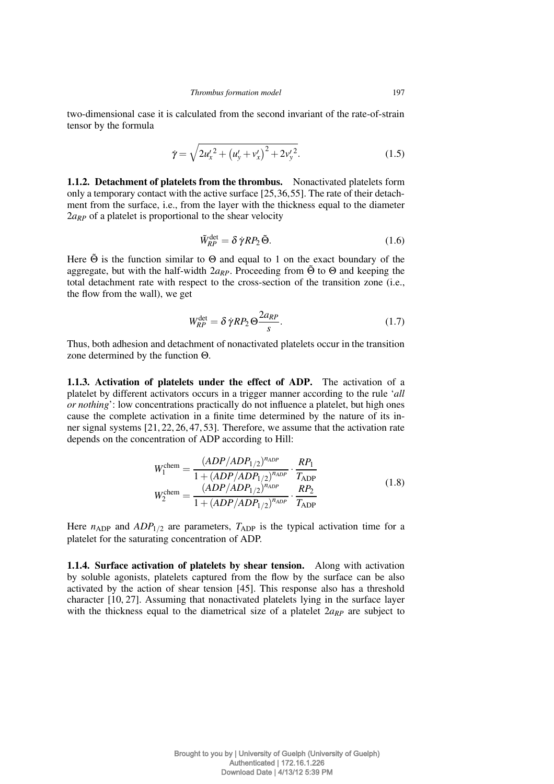two-dimensional case it is calculated from the second invariant of the rate-of-strain tensor by the formula

$$
\dot{\gamma} = \sqrt{2u_x'^2 + (u_y' + v_x')^2 + 2v_y'^2}.
$$
\n(1.5)

**1.1.2. Detachment of platelets from the thrombus.** Nonactivated platelets form only a temporary contact with the active surface [25,36,55]. The rate of their detachment from the surface, i.e., from the layer with the thickness equal to the diameter  $2a_{RP}$  of a platelet is proportional to the shear velocity

$$
\tilde{W}_{RP}^{\text{det}} = \delta \dot{\gamma} R P_2 \tilde{\Theta}.
$$
\n(1.6)

Here  $\tilde{\Theta}$  is the function similar to  $\Theta$  and equal to 1 on the exact boundary of the aggregate, but with the half-width  $2a_{RP}$ . Proceeding from  $\tilde{\Theta}$  to  $\Theta$  and keeping the total detachment rate with respect to the cross-section of the transition zone (i.e., the flow from the wall), we get

$$
W_{RP}^{\text{det}} = \delta \gamma R P_2 \Theta \frac{2a_{RP}}{s}.
$$
 (1.7)

Thus, both adhesion and detachment of nonactivated platelets occur in the transition zone determined by the function Θ.

**1.1.3. Activation of platelets under the effect of ADP.** The activation of a platelet by different activators occurs in a trigger manner according to the rule '*all or nothing*': low concentrations practically do not influence a platelet, but high ones cause the complete activation in a finite time determined by the nature of its inner signal systems [21, 22, 26, 47, 53]. Therefore, we assume that the activation rate depends on the concentration of ADP according to Hill:

$$
W_1^{\text{chem}} = \frac{(ADP/ADP_{1/2})^{n_{ADP}}}{1 + (ADP/ADP_{1/2})^{n_{ADP}}} \cdot \frac{RP_1}{T_{ADP}}
$$
  
\n
$$
W_2^{\text{chem}} = \frac{(ADP/ADP_{1/2})^{n_{ADP}}}{1 + (ADP/ADP_{1/2})^{n_{ADP}}} \cdot \frac{RP_2}{T_{ADP}}
$$
(1.8)

Here  $n_{ADP}$  and  $ADP_{1/2}$  are parameters,  $T_{ADP}$  is the typical activation time for a platelet for the saturating concentration of ADP.

**1.1.4. Surface activation of platelets by shear tension.** Along with activation by soluble agonists, platelets captured from the flow by the surface can be also activated by the action of shear tension [45]. This response also has a threshold character [10, 27]. Assuming that nonactivated platelets lying in the surface layer with the thickness equal to the diametrical size of a platelet  $2a_{RP}$  are subject to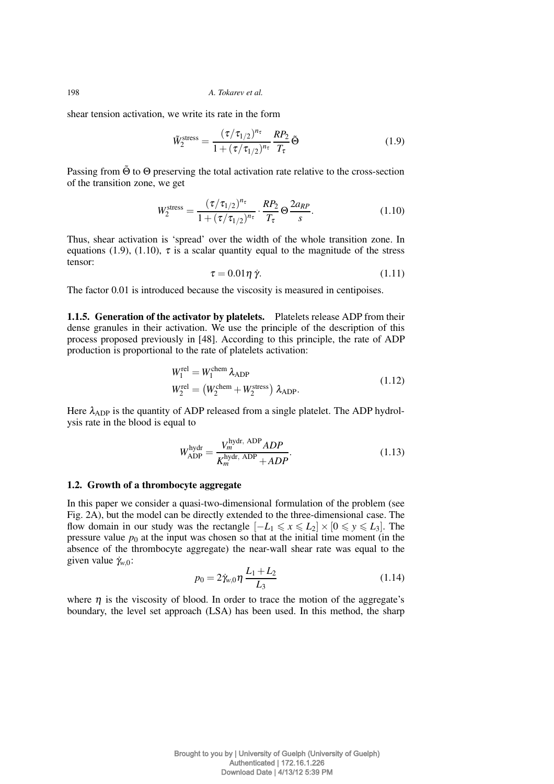shear tension activation, we write its rate in the form

$$
\tilde{W}_2^{\text{stress}} = \frac{(\tau/\tau_{1/2})^{n_{\tau}}}{1 + (\tau/\tau_{1/2})^{n_{\tau}}} \frac{RP_2}{T_{\tau}} \tilde{\Theta}
$$
\n(1.9)

Passing from  $\tilde{\Theta}$  to  $\Theta$  preserving the total activation rate relative to the cross-section of the transition zone, we get

$$
W_2^{\text{stress}} = \frac{(\tau/\tau_{1/2})^{n_{\tau}}}{1 + (\tau/\tau_{1/2})^{n_{\tau}}} \cdot \frac{RP_2}{T_{\tau}} \Theta \frac{2a_{RP}}{s}.
$$
 (1.10)

Thus, shear activation is 'spread' over the width of the whole transition zone. In equations (1.9), (1.10),  $\tau$  is a scalar quantity equal to the magnitude of the stress tensor:

$$
\tau = 0.01\eta \,\gamma. \tag{1.11}
$$

The factor 0.01 is introduced because the viscosity is measured in centipoises.

**1.1.5. Generation of the activator by platelets.** Platelets release ADP from their dense granules in their activation. We use the principle of the description of this process proposed previously in [48]. According to this principle, the rate of ADP production is proportional to the rate of platelets activation:

$$
W_1^{\text{rel}} = W_1^{\text{chem}} \lambda_{\text{ADP}}
$$
  
\n
$$
W_2^{\text{rel}} = (W_2^{\text{chem}} + W_2^{\text{stress}}) \lambda_{\text{ADP}}.
$$
\n(1.12)

Here  $\lambda_{ADP}$  is the quantity of ADP released from a single platelet. The ADP hydrolysis rate in the blood is equal to

$$
W_{\text{ADP}}^{\text{hydr}} = \frac{V_m^{\text{hydr, ADP}} ADP}{K_m^{\text{hydr, ADP}} + ADP}.
$$
\n(1.13)

### **1.2. Growth of a thrombocyte aggregate**

In this paper we consider a quasi-two-dimensional formulation of the problem (see Fig. 2A), but the model can be directly extended to the three-dimensional case. The flow domain in our study was the rectangle  $[-L_1 \le x \le L_2] \times [0 \le y \le L_3]$ . The pressure value  $p_0$  at the input was chosen so that at the initial time moment (in the absence of the thrombocyte aggregate) the near-wall shear rate was equal to the given value  $\dot{\gamma}_{w,0}$ :

$$
p_0 = 2\dot{\gamma}_{w,0}\eta \frac{L_1 + L_2}{L_3} \tag{1.14}
$$

where  $\eta$  is the viscosity of blood. In order to trace the motion of the aggregate's boundary, the level set approach (LSA) has been used. In this method, the sharp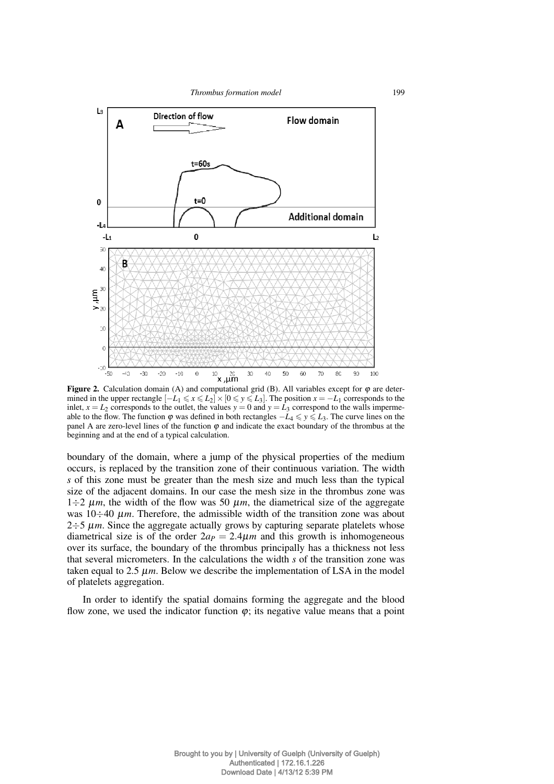

**Figure 2.** Calculation domain (A) and computational grid (B). All variables except for  $\varphi$  are determined in the upper rectangle  $[-L_1 \le x \le L_2] \times [0 \le y \le L_3]$ . The position  $x = -L_1$  corresponds to the inlet,  $x = L_2$  corresponds to the outlet, the values  $y = 0$  and  $y = L_3$  correspond to the walls impermeable to the flow. The function  $\varphi$  was defined in both rectangles  $-L_4 \leq y \leq L_3$ . The curve lines on the panel A are zero-level lines of the function  $\varphi$  and indicate the exact boundary of the thrombus at the beginning and at the end of a typical calculation.

boundary of the domain, where a jump of the physical properties of the medium occurs, is replaced by the transition zone of their continuous variation. The width *s* of this zone must be greater than the mesh size and much less than the typical size of the adjacent domains. In our case the mesh size in the thrombus zone was  $1\div 2$   $\mu$ *m*, the width of the flow was 50  $\mu$ *m*, the diametrical size of the aggregate was 10÷40 <sup>µ</sup>*m*. Therefore, the admissible width of the transition zone was about  $2 \div 5$   $\mu$ m. Since the aggregate actually grows by capturing separate platelets whose diametrical size is of the order  $2a_P = 2.4 \mu m$  and this growth is inhomogeneous over its surface, the boundary of the thrombus principally has a thickness not less that several micrometers. In the calculations the width *s* of the transition zone was taken equal to 2.5  $\mu$ m. Below we describe the implementation of LSA in the model of platelets aggregation.

In order to identify the spatial domains forming the aggregate and the blood flow zone, we used the indicator function  $\varphi$ ; its negative value means that a point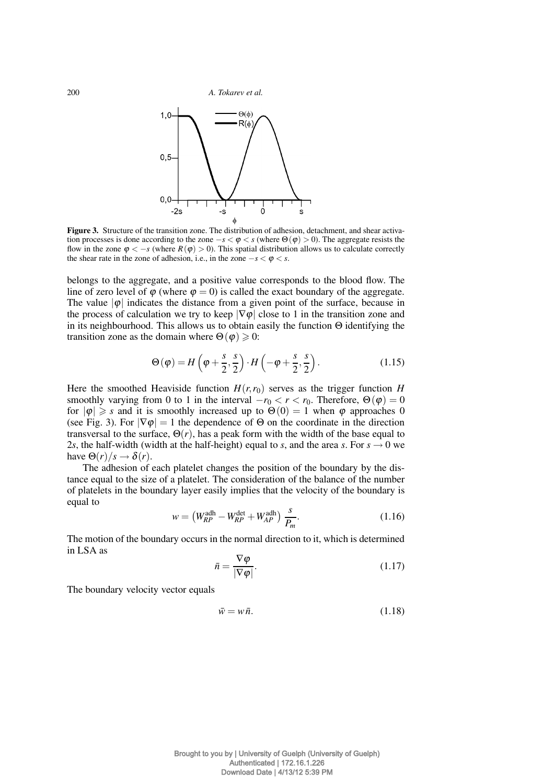

**Figure 3.** Structure of the transition zone. The distribution of adhesion, detachment, and shear activation processes is done according to the zone  $-s < \varphi < s$  (where  $\Theta(\varphi) > 0$ ). The aggregate resists the flow in the zone  $\varphi < -s$  (where  $R(\varphi) > 0$ ). This spatial distribution allows us to calculate correctly the shear rate in the zone of adhesion, i.e., in the zone  $-s < \varphi < s$ .

belongs to the aggregate, and a positive value corresponds to the blood flow. The line of zero level of  $\varphi$  (where  $\varphi = 0$ ) is called the exact boundary of the aggregate. The value  $|\phi|$  indicates the distance from a given point of the surface, because in the process of calculation we try to keep  $|\nabla \varphi|$  close to 1 in the transition zone and in its neighbourhood. This allows us to obtain easily the function  $\Theta$  identifying the transition zone as the domain where  $\Theta(\varphi) \geq 0$ :

$$
\Theta(\varphi) = H\left(\varphi + \frac{s}{2}, \frac{s}{2}\right) \cdot H\left(-\varphi + \frac{s}{2}, \frac{s}{2}\right). \tag{1.15}
$$

Here the smoothed Heaviside function  $H(r,r_0)$  serves as the trigger function *H* smoothly varying from 0 to 1 in the interval  $-r_0 < r < r_0$ . Therefore,  $\Theta(\varphi) = 0$ for  $|\phi| \geq s$  and it is smoothly increased up to  $\Theta(0) = 1$  when  $\phi$  approaches 0 (see Fig. 3). For  $|\nabla \varphi| = 1$  the dependence of  $\Theta$  on the coordinate in the direction transversal to the surface,  $\Theta(r)$ , has a peak form with the width of the base equal to 2*s*, the half-width (width at the half-height) equal to *s*, and the area *s*. For  $s \rightarrow 0$  we have  $\Theta(r)/s \rightarrow \delta(r)$ .

The adhesion of each platelet changes the position of the boundary by the distance equal to the size of a platelet. The consideration of the balance of the number of platelets in the boundary layer easily implies that the velocity of the boundary is equal to

$$
w = \left(W_{RP}^{\text{adh}} - W_{RP}^{\text{det}} + W_{AP}^{\text{adh}}\right) \frac{s}{P_m}.\tag{1.16}
$$

The motion of the boundary occurs in the normal direction to it, which is determined in LSA as

$$
\bar{n} = \frac{\nabla \varphi}{|\nabla \varphi|}.
$$
\n(1.17)

The boundary velocity vector equals

$$
\bar{w} = w\bar{n}.\tag{1.18}
$$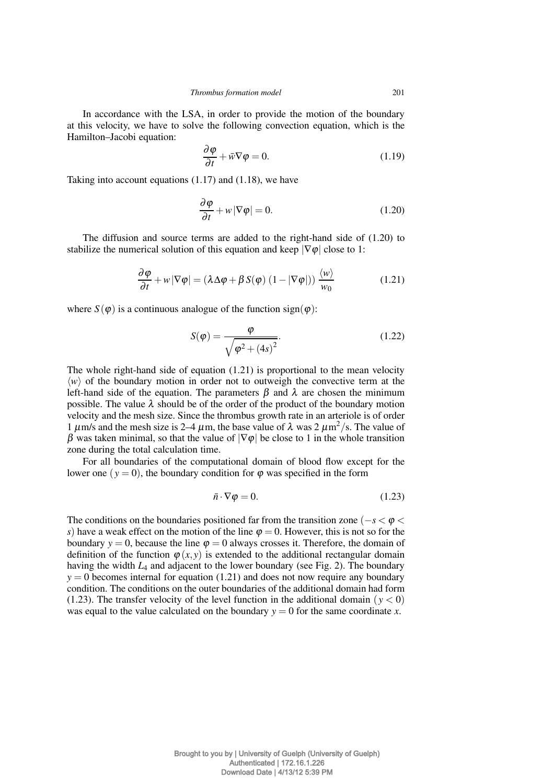In accordance with the LSA, in order to provide the motion of the boundary at this velocity, we have to solve the following convection equation, which is the Hamilton–Jacobi equation:

$$
\frac{\partial \varphi}{\partial t} + \bar{w} \nabla \varphi = 0. \tag{1.19}
$$

Taking into account equations (1.17) and (1.18), we have

$$
\frac{\partial \varphi}{\partial t} + w |\nabla \varphi| = 0. \tag{1.20}
$$

The diffusion and source terms are added to the right-hand side of (1.20) to stabilize the numerical solution of this equation and keep  $|\nabla \varphi|$  close to 1:

$$
\frac{\partial \varphi}{\partial t} + w |\nabla \varphi| = (\lambda \Delta \varphi + \beta S(\varphi) (1 - |\nabla \varphi|)) \frac{\langle w \rangle}{w_0}
$$
(1.21)

where  $S(\varphi)$  is a continuous analogue of the function sign( $\varphi$ ):

$$
S(\varphi) = \frac{\varphi}{\sqrt{\varphi^2 + (4s)^2}}.\tag{1.22}
$$

The whole right-hand side of equation (1.21) is proportional to the mean velocity  $\langle w \rangle$  of the boundary motion in order not to outweigh the convective term at the left-hand side of the equation. The parameters  $\beta$  and  $\lambda$  are chosen the minimum possible. The value  $\lambda$  should be of the order of the product of the boundary motion velocity and the mesh size. Since the thrombus growth rate in an arteriole is of order 1 μm/s and the mesh size is 2–4 μm, the base value of λ was 2 μm<sup>2</sup>/s. The value of β was taken minimal, so that the value of  $|\nabla \varphi|$  be close to 1 in the whole transition zone during the total calculation time.

For all boundaries of the computational domain of blood flow except for the lower one ( $y = 0$ ), the boundary condition for  $\varphi$  was specified in the form

$$
\bar{n} \cdot \nabla \varphi = 0. \tag{1.23}
$$

The conditions on the boundaries positioned far from the transition zone ( $-s < \varphi <$ *s*) have a weak effect on the motion of the line  $\varphi = 0$ . However, this is not so for the boundary  $y = 0$ , because the line  $\varphi = 0$  always crosses it. Therefore, the domain of definition of the function  $\varphi(x, y)$  is extended to the additional rectangular domain having the width  $L_4$  and adjacent to the lower boundary (see Fig. 2). The boundary  $y = 0$  becomes internal for equation (1.21) and does not now require any boundary condition. The conditions on the outer boundaries of the additional domain had form (1.23). The transfer velocity of the level function in the additional domain ( $y < 0$ ) was equal to the value calculated on the boundary  $y = 0$  for the same coordinate *x*.

> Brought to you by | University of Guelph (University of Guelph) Authenticated | 172.16.1.226

Download Date | 4/13/12 5:39 PM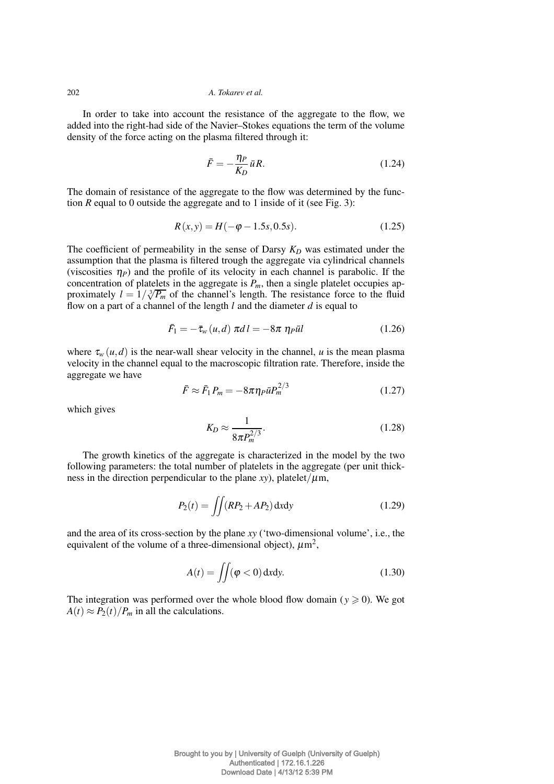In order to take into account the resistance of the aggregate to the flow, we added into the right-had side of the Navier–Stokes equations the term of the volume density of the force acting on the plasma filtered through it:

$$
\bar{F} = -\frac{\eta_P}{K_D} \bar{u}R. \tag{1.24}
$$

The domain of resistance of the aggregate to the flow was determined by the function  $R$  equal to 0 outside the aggregate and to 1 inside of it (see Fig. 3):

$$
R(x, y) = H(-\varphi - 1.5s, 0.5s). \tag{1.25}
$$

The coefficient of permeability in the sense of Darsy  $K_D$  was estimated under the assumption that the plasma is filtered trough the aggregate via cylindrical channels (viscosities  $\eta_P$ ) and the profile of its velocity in each channel is parabolic. If the concentration of platelets in the aggregate is  $P_m$ , then a single platelet occupies approximately  $l = 1/\sqrt[3]{P_m}$  of the channel's length. The resistance force to the fluid flow on a part of a channel of the length *l* and the diameter *d* is equal to

$$
\bar{F}_1 = -\bar{\tau}_w(u, d) \pi dl = -8\pi \eta_P \bar{u}l \qquad (1.26)
$$

where  $\tau_w(u, d)$  is the near-wall shear velocity in the channel, *u* is the mean plasma velocity in the channel equal to the macroscopic filtration rate. Therefore, inside the aggregate we have

$$
\bar{F} \approx \bar{F}_1 P_m = -8\pi \eta_P \bar{u} P_m^{2/3} \tag{1.27}
$$

which gives

$$
K_D \approx \frac{1}{8\pi P_m^{2/3}}.\tag{1.28}
$$

The growth kinetics of the aggregate is characterized in the model by the two following parameters: the total number of platelets in the aggregate (per unit thickness in the direction perpendicular to the plane *xy*), platelet/ $\mu$ m,

$$
P_2(t) = \iint (RP_2 + AP_2) dxdy \qquad (1.29)
$$

and the area of its cross-section by the plane *xy* ('two-dimensional volume', i.e., the equivalent of the volume of a three-dimensional object),  $\mu$ m<sup>2</sup>,

$$
A(t) = \iint (\varphi < 0) \, \mathrm{d}x \mathrm{d}y. \tag{1.30}
$$

The integration was performed over the whole blood flow domain ( $y \ge 0$ ). We got  $A(t) \approx P_2(t)/P_m$  in all the calculations.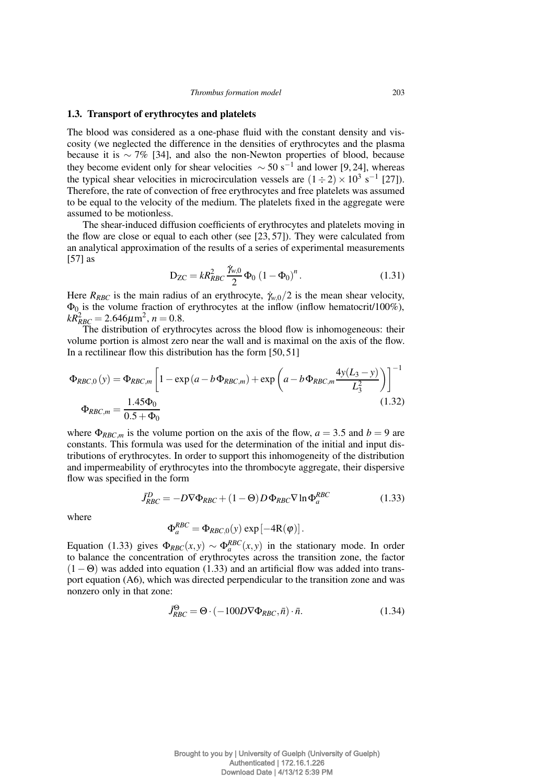#### **1.3. Transport of erythrocytes and platelets**

The blood was considered as a one-phase fluid with the constant density and viscosity (we neglected the difference in the densities of erythrocytes and the plasma because it is ∼ 7% [34], and also the non-Newton properties of blood, because they become evident only for shear velocities  $\sim 50 \text{ s}^{-1}$  and lower [9,24], whereas the typical shear velocities in microcirculation vessels are  $(1 \div 2) \times 10^3$  s<sup>-1</sup> [27]). Therefore, the rate of convection of free erythrocytes and free platelets was assumed to be equal to the velocity of the medium. The platelets fixed in the aggregate were assumed to be motionless.

The shear-induced diffusion coefficients of erythrocytes and platelets moving in the flow are close or equal to each other (see [23, 57]). They were calculated from an analytical approximation of the results of a series of experimental measurements [57] as

$$
D_{ZC} = kR_{RBC}^2 \frac{\dot{\gamma}_{w,0}}{2} \Phi_0 (1 - \Phi_0)^n.
$$
 (1.31)

Here  $R_{RBC}$  is the main radius of an erythrocyte,  $\dot{\gamma}_{w,0}/2$  is the mean shear velocity,  $\Phi_0$  is the volume fraction of erythrocytes at the inflow (inflow hematocrit/100%),  $kR_{RBC}^2 = 2.646 \mu \text{m}^2, n = 0.8.$ 

The distribution of erythrocytes across the blood flow is inhomogeneous: their volume portion is almost zero near the wall and is maximal on the axis of the flow. In a rectilinear flow this distribution has the form [50, 51]

$$
\Phi_{RBC,0}(y) = \Phi_{RBC,m} \left[ 1 - \exp(a - b\Phi_{RBC,m}) + \exp\left(a - b\Phi_{RBC,m} \frac{4y(L_3 - y)}{L_3^2}\right) \right]^{-1}
$$
  

$$
\Phi_{RBC,m} = \frac{1.45\Phi_0}{0.5 + \Phi_0}
$$
(1.32)

where  $\Phi_{RBC,m}$  is the volume portion on the axis of the flow,  $a = 3.5$  and  $b = 9$  are constants. This formula was used for the determination of the initial and input distributions of erythrocytes. In order to support this inhomogeneity of the distribution and impermeability of erythrocytes into the thrombocyte aggregate, their dispersive flow was specified in the form

$$
\bar{J}_{RBC}^D = -D\nabla\Phi_{RBC} + (1 - \Theta)D\Phi_{RBC}\nabla\ln\Phi_a^{RBC}
$$
\n(1.33)

where

$$
\Phi_a^{RBC} = \Phi_{RBC,0}(y) \exp \left[-4R(\varphi)\right].
$$

Equation (1.33) gives  $\Phi_{RBC}(x, y) \sim \Phi_a^{RBC}(x, y)$  in the stationary mode. In order to balance the concentration of erythrocytes across the transition zone, the factor  $(1–Θ)$  was added into equation (1.33) and an artificial flow was added into transport equation (A6), which was directed perpendicular to the transition zone and was nonzero only in that zone:

$$
\bar{J}_{RBC}^{\Theta} = \Theta \cdot (-100D \nabla \Phi_{RBC}, \bar{n}) \cdot \bar{n}.
$$
 (1.34)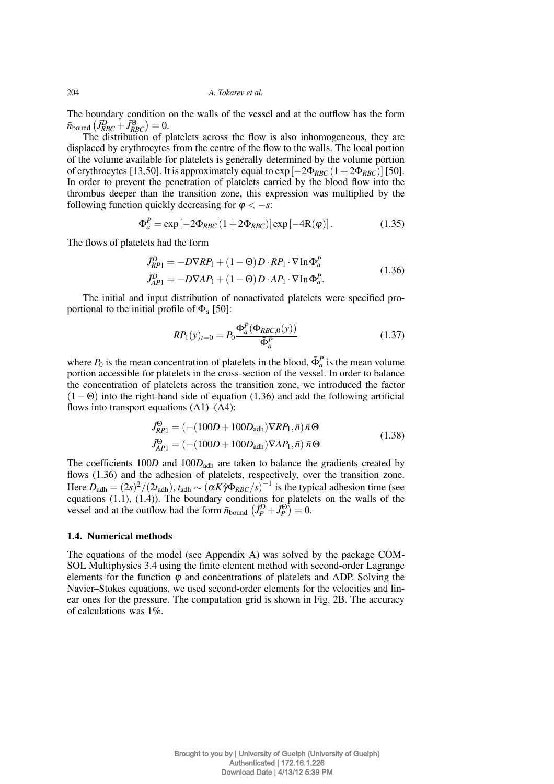The boundary condition on the walls of the vessel and at the outflow has the form  $\bar{n}_{\text{bound}} \left( \bar{J}_{RBC}^D + \bar{J}_{RBC}^{\Theta} \right) = 0.$ 

The distribution of platelets across the flow is also inhomogeneous, they are displaced by erythrocytes from the centre of the flow to the walls. The local portion of the volume available for platelets is generally determined by the volume portion of erythrocytes [13,50]. It is approximately equal to exp[−2Φ*RBC* (1+2Φ*RBC*)] [50]. In order to prevent the penetration of platelets carried by the blood flow into the thrombus deeper than the transition zone, this expression was multiplied by the following function quickly decreasing for  $\varphi < -s$ :

$$
\Phi_a^P = \exp\left[-2\Phi_{RBC}(1+2\Phi_{RBC})\right] \exp\left[-4R(\varphi)\right].\tag{1.35}
$$

The flows of platelets had the form

$$
\begin{aligned}\n\bar{J}_{RP1}^D &= -D\nabla R P_1 + (1 - \Theta)D \cdot R P_1 \cdot \nabla \ln \Phi_a^P \\
\bar{J}_{AP1}^D &= -D\nabla A P_1 + (1 - \Theta)D \cdot A P_1 \cdot \nabla \ln \Phi_a^P.\n\end{aligned} \tag{1.36}
$$

The initial and input distribution of nonactivated platelets were specified proportional to the initial profile of  $\Phi_a$  [50]:

$$
RP_1(y)_{t=0} = P_0 \frac{\Phi_a^P(\Phi_{RBC,0}(y))}{\bar{\Phi}_a^P}
$$
\n(1.37)

where  $P_0$  is the mean concentration of platelets in the blood,  $\bar{\Phi}_a^P$  is the mean volume portion accessible for platelets in the cross-section of the vessel. In order to balance the concentration of platelets across the transition zone, we introduced the factor  $(1-\Theta)$  into the right-hand side of equation (1.36) and add the following artificial flows into transport equations  $(A1)$ – $(A4)$ :

$$
\bar{J}_{RP1}^{\Theta} = (-(100D + 100D_{\text{adh}}) \nabla RP_1, \bar{n}) \,\bar{n} \Theta
$$
\n
$$
\bar{J}_{AP1}^{\Theta} = (-(100D + 100D_{\text{adh}}) \nabla AP_1, \bar{n}) \,\bar{n} \Theta
$$
\n(1.38)

The coefficients 100*D* and 100*D*<sub>adh</sub> are taken to balance the gradients created by flows  $(1.36)$  and the adhesion of platelets, respectively, over the transition zone. Here  $D_{\text{adh}} = (2s)^2/(2t_{\text{adh}})$ ,  $t_{\text{adh}} \sim (\alpha K \gamma \Phi_{RBC}/s)^{-1}$  is the typical adhesion time (see equations (1.1), (1.4)). The boundary conditions for platelets on the walls of the vessel and at the outflow had the form  $\bar{n}_{\text{bound}} \left( J_P^D + J_P^{\Theta} \right) = 0$ .

### **1.4. Numerical methods**

The equations of the model (see Appendix A) was solved by the package COM-SOL Multiphysics 3.4 using the finite element method with second-order Lagrange elements for the function  $\varphi$  and concentrations of platelets and ADP. Solving the Navier–Stokes equations, we used second-order elements for the velocities and linear ones for the pressure. The computation grid is shown in Fig. 2B. The accuracy of calculations was 1%.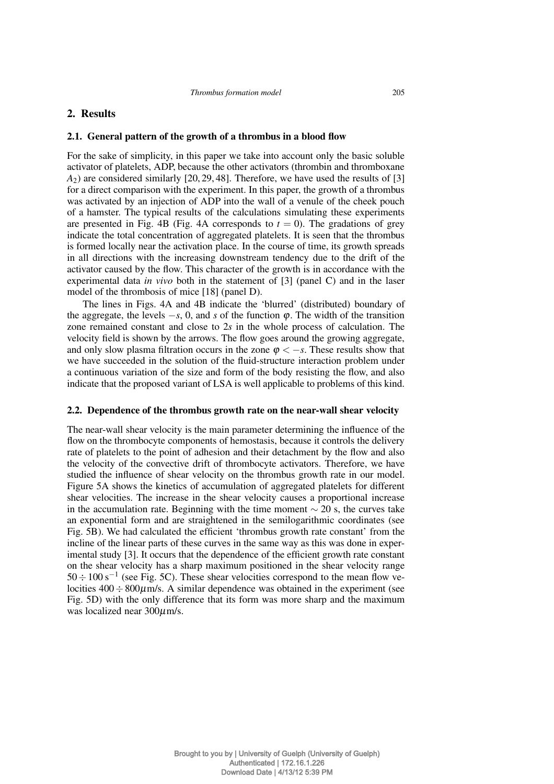# **2. Results**

### **2.1. General pattern of the growth of a thrombus in a blood flow**

For the sake of simplicity, in this paper we take into account only the basic soluble activator of platelets, ADP, because the other activators (thrombin and thromboxane  $A_2$ ) are considered similarly [20, 29, 48]. Therefore, we have used the results of [3] for a direct comparison with the experiment. In this paper, the growth of a thrombus was activated by an injection of ADP into the wall of a venule of the cheek pouch of a hamster. The typical results of the calculations simulating these experiments are presented in Fig. 4B (Fig. 4A corresponds to  $t = 0$ ). The gradations of grey indicate the total concentration of aggregated platelets. It is seen that the thrombus is formed locally near the activation place. In the course of time, its growth spreads in all directions with the increasing downstream tendency due to the drift of the activator caused by the flow. This character of the growth is in accordance with the experimental data *in vivo* both in the statement of [3] (panel C) and in the laser model of the thrombosis of mice [18] (panel D).

The lines in Figs. 4A and 4B indicate the 'blurred' (distributed) boundary of the aggregate, the levels  $-s$ , 0, and *s* of the function  $\varphi$ . The width of the transition zone remained constant and close to 2*s* in the whole process of calculation. The velocity field is shown by the arrows. The flow goes around the growing aggregate, and only slow plasma filtration occurs in the zone  $\varphi < -s$ . These results show that we have succeeded in the solution of the fluid-structure interaction problem under a continuous variation of the size and form of the body resisting the flow, and also indicate that the proposed variant of LSA is well applicable to problems of this kind.

### **2.2. Dependence of the thrombus growth rate on the near-wall shear velocity**

The near-wall shear velocity is the main parameter determining the influence of the flow on the thrombocyte components of hemostasis, because it controls the delivery rate of platelets to the point of adhesion and their detachment by the flow and also the velocity of the convective drift of thrombocyte activators. Therefore, we have studied the influence of shear velocity on the thrombus growth rate in our model. Figure 5A shows the kinetics of accumulation of aggregated platelets for different shear velocities. The increase in the shear velocity causes a proportional increase in the accumulation rate. Beginning with the time moment  $\sim$  20 s, the curves take an exponential form and are straightened in the semilogarithmic coordinates (see Fig. 5B). We had calculated the efficient 'thrombus growth rate constant' from the incline of the linear parts of these curves in the same way as this was done in experimental study [3]. It occurs that the dependence of the efficient growth rate constant on the shear velocity has a sharp maximum positioned in the shear velocity range 50 ÷ 100 s<sup>-1</sup> (see Fig. 5C). These shear velocities correspond to the mean flow velocities  $400 \div 800 \mu \text{m/s}$ . A similar dependence was obtained in the experiment (see Fig. 5D) with the only difference that its form was more sharp and the maximum was localized near  $300 \mu m/s$ .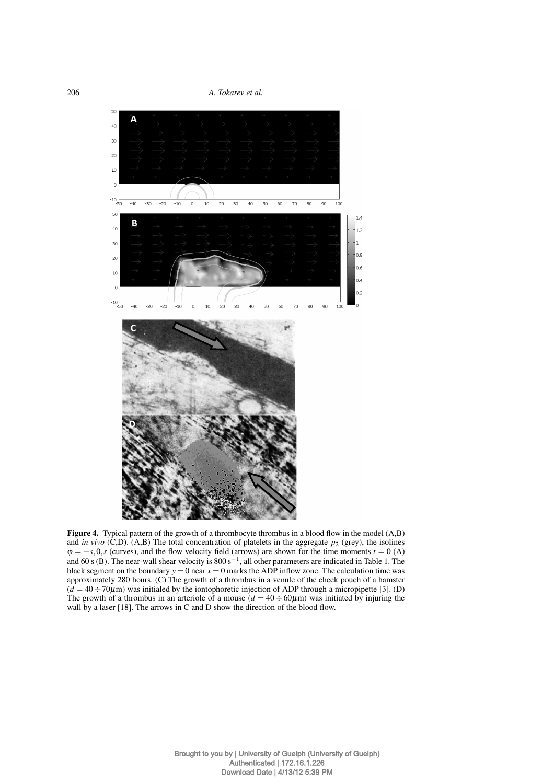

**Figure 4.** Typical pattern of the growth of a thrombocyte thrombus in a blood flow in the model (A,B) and *in vivo* (C,D). (A,B) The total concentration of platelets in the aggregate  $p_2$  (grey), the isolines  $\varphi = -s, 0, s$  (curves), and the flow velocity field (arrows) are shown for the time moments  $t = 0$  (A) and 60 s (B). The near-wall shear velocity is  $800 s^{-1}$ , all other parameters are indicated in Table 1. The black segment on the boundary  $y = 0$  near  $x = 0$  marks the ADP inflow zone. The calculation time was approximately 280 hours. (C) The growth of a thrombus in a venule of the cheek pouch of a hamster  $(d = 40 \div 70 \mu \text{m})$  was initialed by the iontophoretic injection of ADP through a micropipette [3]. (D) The growth of a thrombus in an arteriole of a mouse  $(d = 40 \div 60 \mu m)$  was initiated by injuring the wall by a laser [18]. The arrows in C and D show the direction of the blood flow.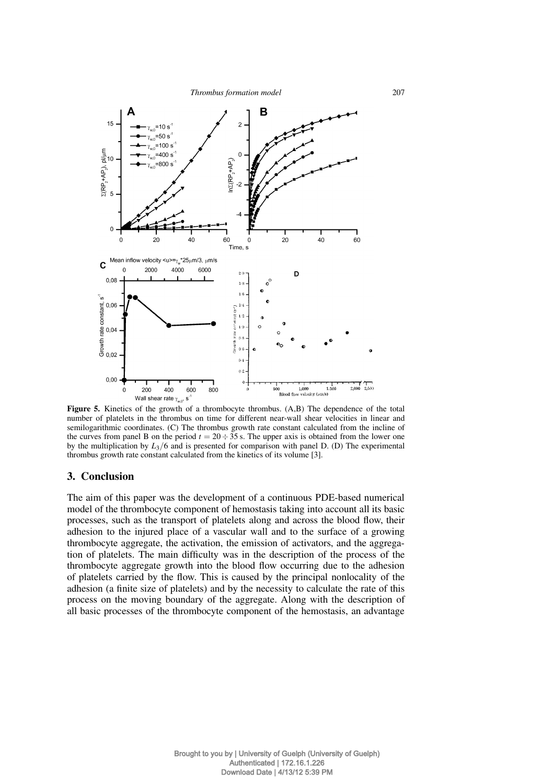

**Figure 5.** Kinetics of the growth of a thrombocyte thrombus. (A,B) The dependence of the total number of platelets in the thrombus on time for different near-wall shear velocities in linear and semilogarithmic coordinates. (C) The thrombus growth rate constant calculated from the incline of the curves from panel B on the period  $t = 20 \div 35$  s. The upper axis is obtained from the lower one by the multiplication by *L*3/6 and is presented for comparison with panel D. (D) The experimental thrombus growth rate constant calculated from the kinetics of its volume [3].

# **3. Conclusion**

The aim of this paper was the development of a continuous PDE-based numerical model of the thrombocyte component of hemostasis taking into account all its basic processes, such as the transport of platelets along and across the blood flow, their adhesion to the injured place of a vascular wall and to the surface of a growing thrombocyte aggregate, the activation, the emission of activators, and the aggregation of platelets. The main difficulty was in the description of the process of the thrombocyte aggregate growth into the blood flow occurring due to the adhesion of platelets carried by the flow. This is caused by the principal nonlocality of the adhesion (a finite size of platelets) and by the necessity to calculate the rate of this process on the moving boundary of the aggregate. Along with the description of all basic processes of the thrombocyte component of the hemostasis, an advantage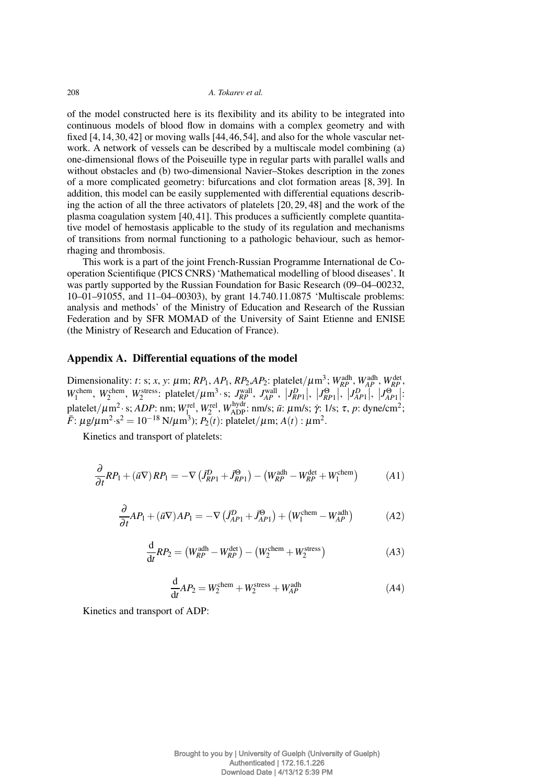of the model constructed here is its flexibility and its ability to be integrated into continuous models of blood flow in domains with a complex geometry and with fixed [4, 14, 30, 42] or moving walls [44, 46, 54], and also for the whole vascular network. A network of vessels can be described by a multiscale model combining (a) one-dimensional flows of the Poiseuille type in regular parts with parallel walls and without obstacles and (b) two-dimensional Navier–Stokes description in the zones of a more complicated geometry: bifurcations and clot formation areas [8, 39]. In addition, this model can be easily supplemented with differential equations describing the action of all the three activators of platelets [20, 29, 48] and the work of the plasma coagulation system [40, 41]. This produces a sufficiently complete quantitative model of hemostasis applicable to the study of its regulation and mechanisms of transitions from normal functioning to a pathologic behaviour, such as hemorrhaging and thrombosis.

This work is a part of the joint French-Russian Programme International de Cooperation Scientifique (PICS CNRS) 'Mathematical modelling of blood diseases'. It was partly supported by the Russian Foundation for Basic Research (09–04–00232, 10–01–91055, and 11–04–00303), by grant 14.740.11.0875 'Multiscale problems: analysis and methods' of the Ministry of Education and Research of the Russian Federation and by SFR MOMAD of the University of Saint Etienne and ENISE (the Ministry of Research and Education of France).

### **Appendix A. Differential equations of the model**

Dimensionality: *t*: s; *x*, *y*:  $\mu$ m; *RP*<sub>1</sub>, *AP*<sub>1</sub>, *RP*<sub>2</sub>,*AP*<sub>2</sub>: platelet/ $\mu$ m<sup>3</sup>; *W<sub>RP</sub>*, *W<sub>AP</sub>*, *W<sub>RP</sub>*, *W<sub>RP</sub>*,  $W_1^{\text{chem}}, W_2^{\text{chem}}, W_2^{\text{stress}}$ : platelet/ $\mu$ m<sup>3</sup>·s;  $J_{RP}^{\text{wall}}, J_{AP}^{\text{wall}}, |J_{RP1}^D|, |J_{RP1}^D|, |J_{AP1}^D|, |J_{AP1}^D|$ : platelet/ $\mu$ m<sup>2</sup>·s; *ADP*: nm;  $W_1^{\text{rel}}$ ,  $W_2^{\text{rel}}$ ,  $W_{\text{ADP}}^{\text{hydr}}$ : nm/s;  $\bar{u}$ :  $\mu$ m/s;  $\dot{\gamma}$ : 1/s;  $\tau$ ,  $p$ : dyne/cm<sup>2</sup>;  $\bar{F}$ :  $\mu$ g/ $\mu$ m<sup>2</sup>·s<sup>2</sup> = 10<sup>-18</sup> N/ $\mu$ m<sup>3</sup>); *P*<sub>2</sub>(*t*): platelet/ $\mu$ m; *A*(*t*) :  $\mu$ m<sup>2</sup>.

Kinetics and transport of platelets:

$$
\frac{\partial}{\partial t}RP_1 + (\bar{u}\nabla)RP_1 = -\nabla \left( \bar{J}_{RP1}^D + \bar{J}_{RP1}^\Theta \right) - \left( W_{RP}^{\text{adh}} - W_{RP}^{\text{det}} + W_1^{\text{chem}} \right) \tag{A1}
$$

$$
\frac{\partial}{\partial t}AP_1 + (\bar{u}\nabla)AP_1 = -\nabla \left( \bar{J}_{AP1}^D + \bar{J}_{AP1}^{\Theta} \right) + \left( W_1^{\text{chem}} - W_{AP}^{\text{adh}} \right) \tag{A2}
$$

$$
\frac{\mathrm{d}}{\mathrm{d}t}RP_2 = \left(W_{RP}^{\text{adh}} - W_{RP}^{\text{det}}\right) - \left(W_2^{\text{chem}} + W_2^{\text{stress}}\right) \tag{A3}
$$

$$
\frac{\mathrm{d}}{\mathrm{d}t}AP_2 = W_2^{\text{chem}} + W_2^{\text{stress}} + W_{AP}^{\text{adh}}
$$
 (A4)

Kinetics and transport of ADP: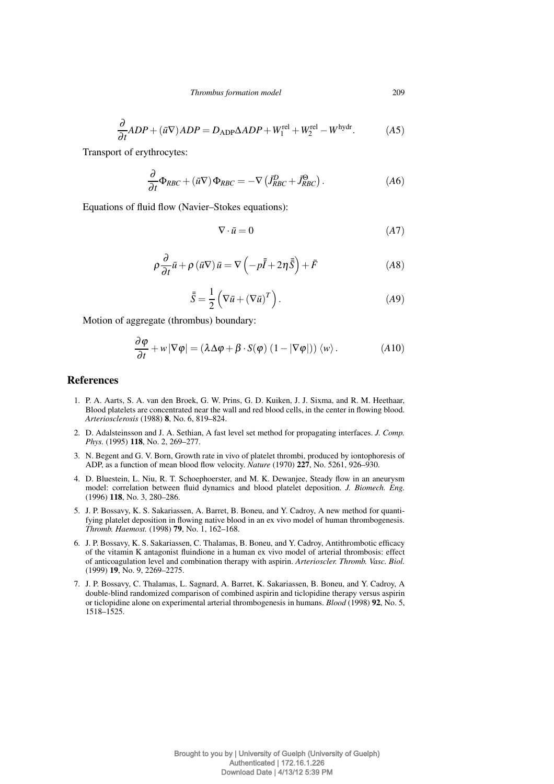*Thrombus formation model* 209

$$
\frac{\partial}{\partial t} ADP + (\bar{u}\nabla) ADP = D_{ADP} \Delta ADP + W_1^{\text{rel}} + W_2^{\text{rel}} - W^{\text{hydr}}.
$$
 (A5)

Transport of erythrocytes:

$$
\frac{\partial}{\partial t}\Phi_{RBC} + (\bar{u}\nabla)\Phi_{RBC} = -\nabla \left( \bar{J}_{RBC}^D + \bar{J}_{RBC}^{\Theta} \right). \tag{A6}
$$

Equations of fluid flow (Navier–Stokes equations):

$$
\nabla \cdot \bar{u} = 0 \tag{A7}
$$

$$
\rho \frac{\partial}{\partial t} \bar{u} + \rho (\bar{u} \nabla) \bar{u} = \nabla \left( -p \bar{\bar{I}} + 2\eta \bar{\bar{S}} \right) + \bar{F}
$$
\n(A8)

$$
\bar{\bar{S}} = \frac{1}{2} \left( \nabla \bar{u} + (\nabla \bar{u})^T \right). \tag{A9}
$$

Motion of aggregate (thrombus) boundary:

$$
\frac{\partial \varphi}{\partial t} + w |\nabla \varphi| = (\lambda \Delta \varphi + \beta \cdot S(\varphi) (1 - |\nabla \varphi|)) \langle w \rangle.
$$
 (A10)

### **References**

- 1. P. A. Aarts, S. A. van den Broek, G. W. Prins, G. D. Kuiken, J. J. Sixma, and R. M. Heethaar, Blood platelets are concentrated near the wall and red blood cells, in the center in flowing blood. *Arteriosclerosis* (1988) **8**, No. 6, 819–824.
- 2. D. Adalsteinsson and J. A. Sethian, A fast level set method for propagating interfaces. *J. Comp. Phys.* (1995) **118**, No. 2, 269–277.
- 3. N. Begent and G. V. Born, Growth rate in vivo of platelet thrombi, produced by iontophoresis of ADP, as a function of mean blood flow velocity. *Nature* (1970) **227**, No. 5261, 926–930.
- 4. D. Bluestein, L. Niu, R. T. Schoephoerster, and M. K. Dewanjee, Steady flow in an aneurysm model: correlation between fluid dynamics and blood platelet deposition. *J. Biomech. Eng.* (1996) **118**, No. 3, 280–286.
- 5. J. P. Bossavy, K. S. Sakariassen, A. Barret, B. Boneu, and Y. Cadroy, A new method for quantifying platelet deposition in flowing native blood in an ex vivo model of human thrombogenesis. *Thromb. Haemost.* (1998) **79**, No. 1, 162–168.
- 6. J. P. Bossavy, K. S. Sakariassen, C. Thalamas, B. Boneu, and Y. Cadroy, Antithrombotic efficacy of the vitamin K antagonist fluindione in a human ex vivo model of arterial thrombosis: effect of anticoagulation level and combination therapy with aspirin. *Arterioscler. Thromb. Vasc. Biol.* (1999) **19**, No. 9, 2269–2275.
- 7. J. P. Bossavy, C. Thalamas, L. Sagnard, A. Barret, K. Sakariassen, B. Boneu, and Y. Cadroy, A double-blind randomized comparison of combined aspirin and ticlopidine therapy versus aspirin or ticlopidine alone on experimental arterial thrombogenesis in humans. *Blood* (1998) **92**, No. 5, 1518–1525.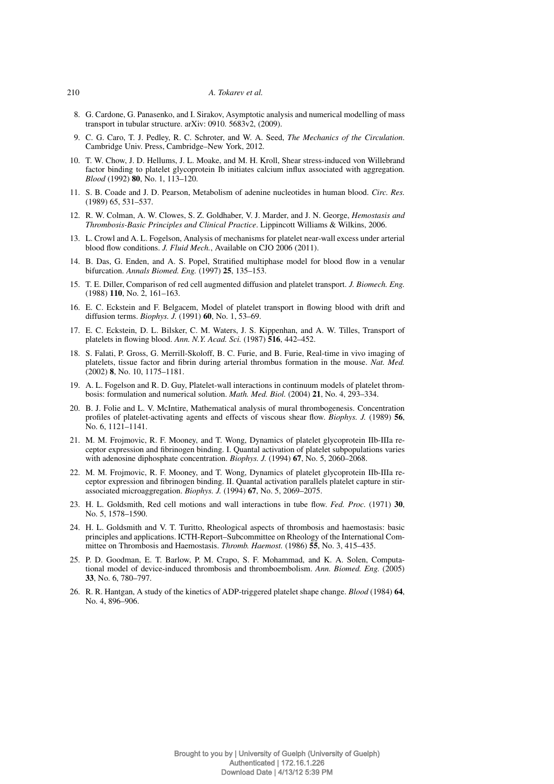- 8. G. Cardone, G. Panasenko, and I. Sirakov, Asymptotic analysis and numerical modelling of mass transport in tubular structure. arXiv: 0910. 5683v2, (2009).
- 9. C. G. Caro, T. J. Pedley, R. C. Schroter, and W. A. Seed, *The Mechanics of the Circulation*. Cambridge Univ. Press, Cambridge–New York, 2012.
- 10. T. W. Chow, J. D. Hellums, J. L. Moake, and M. H. Kroll, Shear stress-induced von Willebrand factor binding to platelet glycoprotein Ib initiates calcium influx associated with aggregation. *Blood* (1992) **80**, No. 1, 113–120.
- 11. S. B. Coade and J. D. Pearson, Metabolism of adenine nucleotides in human blood. *Circ. Res.* (1989) 65, 531–537.
- 12. R. W. Colman, A. W. Clowes, S. Z. Goldhaber, V. J. Marder, and J. N. George, *Hemostasis and Thrombosis-Basic Principles and Clinical Practice*. Lippincott Williams & Wilkins, 2006.
- 13. L. Crowl and A. L. Fogelson, Analysis of mechanisms for platelet near-wall excess under arterial blood flow conditions. *J. Fluid Mech.*, Available on CJO 2006 (2011).
- 14. B. Das, G. Enden, and A. S. Popel, Stratified multiphase model for blood flow in a venular bifurcation. *Annals Biomed. Eng.* (1997) **25**, 135–153.
- 15. T. E. Diller, Comparison of red cell augmented diffusion and platelet transport. *J. Biomech. Eng.* (1988) **110**, No. 2, 161–163.
- 16. E. C. Eckstein and F. Belgacem, Model of platelet transport in flowing blood with drift and diffusion terms. *Biophys. J.* (1991) **60**, No. 1, 53–69.
- 17. E. C. Eckstein, D. L. Bilsker, C. M. Waters, J. S. Kippenhan, and A. W. Tilles, Transport of platelets in flowing blood. *Ann. N.Y. Acad. Sci.* (1987) **516**, 442–452.
- 18. S. Falati, P. Gross, G. Merrill-Skoloff, B. C. Furie, and B. Furie, Real-time in vivo imaging of platelets, tissue factor and fibrin during arterial thrombus formation in the mouse. *Nat. Med.* (2002) **8**, No. 10, 1175–1181.
- 19. A. L. Fogelson and R. D. Guy, Platelet-wall interactions in continuum models of platelet thrombosis: formulation and numerical solution. *Math. Med. Biol.* (2004) **21**, No. 4, 293–334.
- 20. B. J. Folie and L. V. McIntire, Mathematical analysis of mural thrombogenesis. Concentration profiles of platelet-activating agents and effects of viscous shear flow. *Biophys. J.* (1989) **56**, No. 6, 1121–1141.
- 21. M. M. Frojmovic, R. F. Mooney, and T. Wong, Dynamics of platelet glycoprotein IIb-IIIa receptor expression and fibrinogen binding. I. Quantal activation of platelet subpopulations varies with adenosine diphosphate concentration. *Biophys. J.* (1994) **67**, No. 5, 2060–2068.
- 22. M. M. Frojmovic, R. F. Mooney, and T. Wong, Dynamics of platelet glycoprotein IIb-IIIa receptor expression and fibrinogen binding. II. Quantal activation parallels platelet capture in stirassociated microaggregation. *Biophys. J.* (1994) **67**, No. 5, 2069–2075.
- 23. H. L. Goldsmith, Red cell motions and wall interactions in tube flow. *Fed. Proc.* (1971) **30**, No. 5, 1578–1590.
- 24. H. L. Goldsmith and V. T. Turitto, Rheological aspects of thrombosis and haemostasis: basic principles and applications. ICTH-Report–Subcommittee on Rheology of the International Committee on Thrombosis and Haemostasis. *Thromb. Haemost.* (1986) **55**, No. 3, 415–435.
- 25. P. D. Goodman, E. T. Barlow, P. M. Crapo, S. F. Mohammad, and K. A. Solen, Computational model of device-induced thrombosis and thromboembolism. *Ann. Biomed. Eng.* (2005) **33**, No. 6, 780–797.
- 26. R. R. Hantgan, A study of the kinetics of ADP-triggered platelet shape change. *Blood* (1984) **64**, No. 4, 896–906.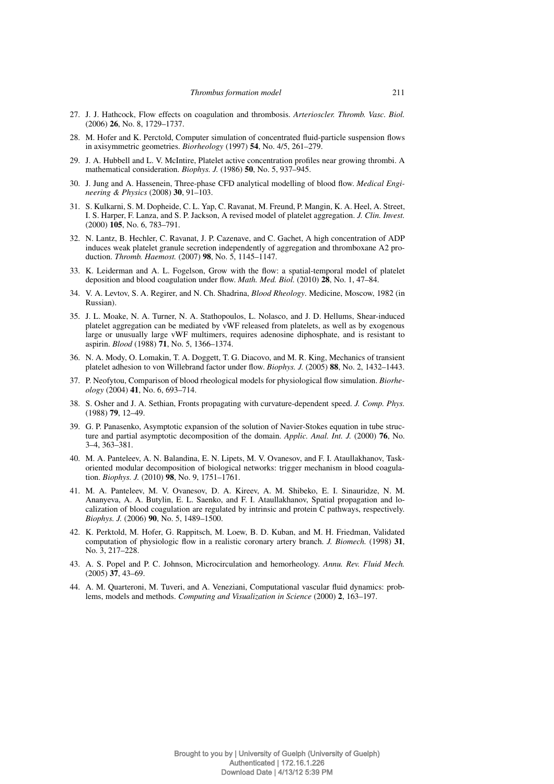- 27. J. J. Hathcock, Flow effects on coagulation and thrombosis. *Arterioscler. Thromb. Vasc. Biol.* (2006) **26**, No. 8, 1729–1737.
- 28. M. Hofer and K. Perctold, Computer simulation of concentrated fluid-particle suspension flows in axisymmetric geometries. *Biorheology* (1997) **54**, No. 4/5, 261–279.
- 29. J. A. Hubbell and L. V. McIntire, Platelet active concentration profiles near growing thrombi. A mathematical consideration. *Biophys. J.* (1986) **50**, No. 5, 937–945.
- 30. J. Jung and A. Hassenein, Three-phase CFD analytical modelling of blood flow. *Medical Engineering & Physics* (2008) **30**, 91–103.
- 31. S. Kulkarni, S. M. Dopheide, C. L. Yap, C. Ravanat, M. Freund, P. Mangin, K. A. Heel, A. Street, I. S. Harper, F. Lanza, and S. P. Jackson, A revised model of platelet aggregation. *J. Clin. Invest.* (2000) **105**, No. 6, 783–791.
- 32. N. Lantz, B. Hechler, C. Ravanat, J. P. Cazenave, and C. Gachet, A high concentration of ADP induces weak platelet granule secretion independently of aggregation and thromboxane A2 production. *Thromb. Haemost.* (2007) **98**, No. 5, 1145–1147.
- 33. K. Leiderman and A. L. Fogelson, Grow with the flow: a spatial-temporal model of platelet deposition and blood coagulation under flow. *Math. Med. Biol.* (2010) **28**, No. 1, 47–84.
- 34. V. A. Levtov, S. A. Regirer, and N. Ch. Shadrina, *Blood Rheology*. Medicine, Moscow, 1982 (in Russian).
- 35. J. L. Moake, N. A. Turner, N. A. Stathopoulos, L. Nolasco, and J. D. Hellums, Shear-induced platelet aggregation can be mediated by vWF released from platelets, as well as by exogenous large or unusually large vWF multimers, requires adenosine diphosphate, and is resistant to aspirin. *Blood* (1988) **71**, No. 5, 1366–1374.
- 36. N. A. Mody, O. Lomakin, T. A. Doggett, T. G. Diacovo, and M. R. King, Mechanics of transient platelet adhesion to von Willebrand factor under flow. *Biophys. J.* (2005) **88**, No. 2, 1432–1443.
- 37. P. Neofytou, Comparison of blood rheological models for physiological flow simulation. *Biorheology* (2004) **41**, No. 6, 693–714.
- 38. S. Osher and J. A. Sethian, Fronts propagating with curvature-dependent speed. *J. Comp. Phys.* (1988) **79**, 12–49.
- 39. G. P. Panasenko, Asymptotic expansion of the solution of Navier-Stokes equation in tube structure and partial asymptotic decomposition of the domain. *Applic. Anal. Int. J.* (2000) **76**, No. 3–4, 363–381.
- 40. M. A. Panteleev, A. N. Balandina, E. N. Lipets, M. V. Ovanesov, and F. I. Ataullakhanov, Taskoriented modular decomposition of biological networks: trigger mechanism in blood coagulation. *Biophys. J.* (2010) **98**, No. 9, 1751–1761.
- 41. M. A. Panteleev, M. V. Ovanesov, D. A. Kireev, A. M. Shibeko, E. I. Sinauridze, N. M. Ananyeva, A. A. Butylin, E. L. Saenko, and F. I. Ataullakhanov, Spatial propagation and localization of blood coagulation are regulated by intrinsic and protein C pathways, respectively. *Biophys. J.* (2006) **90**, No. 5, 1489–1500.
- 42. K. Perktold, M. Hofer, G. Rappitsch, M. Loew, B. D. Kuban, and M. H. Friedman, Validated computation of physiologic flow in a realistic coronary artery branch. *J. Biomech.* (1998) **31**, No. 3, 217–228.
- 43. A. S. Popel and P. C. Johnson, Microcirculation and hemorheology. *Annu. Rev. Fluid Mech.* (2005) **37**, 43–69.
- 44. A. M. Quarteroni, M. Tuveri, and A. Veneziani, Computational vascular fluid dynamics: problems, models and methods. *Computing and Visualization in Science* (2000) **2**, 163–197.